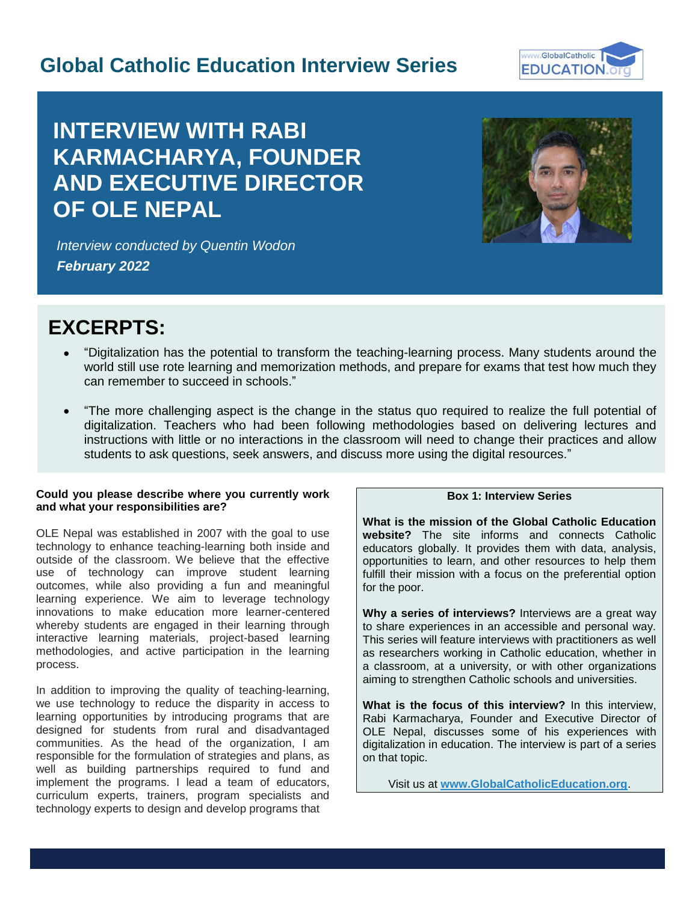# **Global Catholic Education Interview Series**



# **INTERVIEW WITH RABI KARMACHARYA, FOUNDER AND EXECUTIVE DIRECTOR OF OLE NEPAL**



I

*Interview conducted by Quentin Wodon February 2022*

# **EXCERPTS:**

- "Digitalization has the potential to transform the teaching-learning process. Many students around the world still use rote learning and memorization methods, and prepare for exams that test how much they can remember to succeed in schools."
- "The more challenging aspect is the change in the status quo required to realize the full potential of digitalization. Teachers who had been following methodologies based on delivering lectures and instructions with little or no interactions in the classroom will need to change their practices and allow students to ask questions, seek answers, and discuss more using the digital resources."

# **Could you please describe where you currently work and what your responsibilities are?**

OLE Nepal was established in 2007 with the goal to use technology to enhance teaching-learning both inside and outside of the classroom. We believe that the effective use of technology can improve student learning outcomes, while also providing a fun and meaningful learning experience. We aim to leverage technology innovations to make education more learner-centered whereby students are engaged in their learning through interactive learning materials, project-based learning methodologies, and active participation in the learning process.

In addition to improving the quality of teaching-learning, we use technology to reduce the disparity in access to learning opportunities by introducing programs that are designed for students from rural and disadvantaged communities. As the head of the organization, I am responsible for the formulation of strategies and plans, as well as building partnerships required to fund and implement the programs. I lead a team of educators, curriculum experts, trainers, program specialists and technology experts to design and develop programs that

#### **Box 1: Interview Series**

**What is the mission of the Global Catholic Education website?** The site informs and connects Catholic educators globally. It provides them with data, analysis, opportunities to learn, and other resources to help them fulfill their mission with a focus on the preferential option for the poor.

**Why a series of interviews?** Interviews are a great way to share experiences in an accessible and personal way. This series will feature interviews with practitioners as well as researchers working in Catholic education, whether in a classroom, at a university, or with other organizations aiming to strengthen Catholic schools and universities.

**What is the focus of this interview?** In this interview, Rabi Karmacharya, Founder and Executive Director of OLE Nepal, discusses some of his experiences with digitalization in education. The interview is part of a series on that topic.

Visit us at **[www.GlobalCatholicEducation.org](http://www.globalcatholiceducation.org/)**.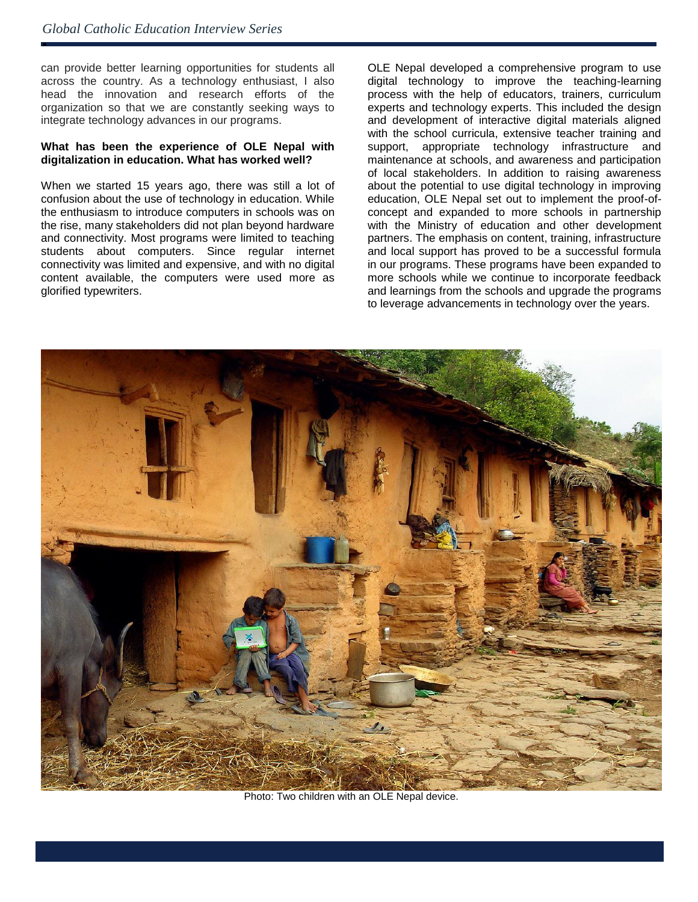ė

can provide better learning opportunities for students all across the country. As a technology enthusiast, I also head the innovation and research efforts of the organization so that we are constantly seeking ways to integrate technology advances in our programs.

#### **What has been the experience of OLE Nepal with digitalization in education. What has worked well?**

When we started 15 years ago, there was still a lot of confusion about the use of technology in education. While the enthusiasm to introduce computers in schools was on the rise, many stakeholders did not plan beyond hardware and connectivity. Most programs were limited to teaching students about computers. Since regular internet connectivity was limited and expensive, and with no digital content available, the computers were used more as glorified typewriters.

OLE Nepal developed a comprehensive program to use digital technology to improve the teaching-learning process with the help of educators, trainers, curriculum experts and technology experts. This included the design and development of interactive digital materials aligned with the school curricula, extensive teacher training and support, appropriate technology infrastructure and maintenance at schools, and awareness and participation of local stakeholders. In addition to raising awareness about the potential to use digital technology in improving education, OLE Nepal set out to implement the proof-ofconcept and expanded to more schools in partnership with the Ministry of education and other development partners. The emphasis on content, training, infrastructure and local support has proved to be a successful formula in our programs. These programs have been expanded to more schools while we continue to incorporate feedback and learnings from the schools and upgrade the programs to leverage advancements in technology over the years.



Photo: Two children with an OLE Nepal device.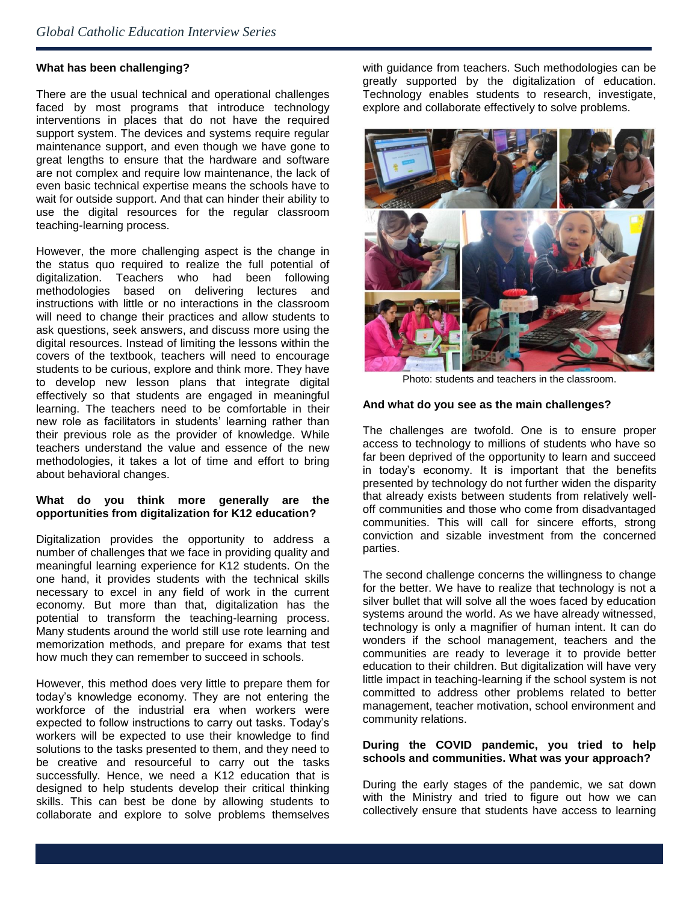#### **What has been challenging?**

There are the usual technical and operational challenges faced by most programs that introduce technology interventions in places that do not have the required support system. The devices and systems require regular maintenance support, and even though we have gone to great lengths to ensure that the hardware and software are not complex and require low maintenance, the lack of even basic technical expertise means the schools have to wait for outside support. And that can hinder their ability to use the digital resources for the regular classroom teaching-learning process.

However, the more challenging aspect is the change in the status quo required to realize the full potential of digitalization. Teachers who had been following methodologies based on delivering lectures and instructions with little or no interactions in the classroom will need to change their practices and allow students to ask questions, seek answers, and discuss more using the digital resources. Instead of limiting the lessons within the covers of the textbook, teachers will need to encourage students to be curious, explore and think more. They have to develop new lesson plans that integrate digital effectively so that students are engaged in meaningful learning. The teachers need to be comfortable in their new role as facilitators in students' learning rather than their previous role as the provider of knowledge. While teachers understand the value and essence of the new methodologies, it takes a lot of time and effort to bring about behavioral changes.

# **What do you think more generally are the opportunities from digitalization for K12 education?**

Digitalization provides the opportunity to address a number of challenges that we face in providing quality and meaningful learning experience for K12 students. On the one hand, it provides students with the technical skills necessary to excel in any field of work in the current economy. But more than that, digitalization has the potential to transform the teaching-learning process. Many students around the world still use rote learning and memorization methods, and prepare for exams that test how much they can remember to succeed in schools.

However, this method does very little to prepare them for today's knowledge economy. They are not entering the workforce of the industrial era when workers were expected to follow instructions to carry out tasks. Today's workers will be expected to use their knowledge to find solutions to the tasks presented to them, and they need to be creative and resourceful to carry out the tasks successfully. Hence, we need a K12 education that is designed to help students develop their critical thinking skills. This can best be done by allowing students to collaborate and explore to solve problems themselves

with guidance from teachers. Such methodologies can be greatly supported by the digitalization of education. Technology enables students to research, investigate, explore and collaborate effectively to solve problems.



Photo: students and teachers in the classroom.

#### **And what do you see as the main challenges?**

The challenges are twofold. One is to ensure proper access to technology to millions of students who have so far been deprived of the opportunity to learn and succeed in today's economy. It is important that the benefits presented by technology do not further widen the disparity that already exists between students from relatively welloff communities and those who come from disadvantaged communities. This will call for sincere efforts, strong conviction and sizable investment from the concerned parties.

The second challenge concerns the willingness to change for the better. We have to realize that technology is not a silver bullet that will solve all the woes faced by education systems around the world. As we have already witnessed, technology is only a magnifier of human intent. It can do wonders if the school management, teachers and the communities are ready to leverage it to provide better education to their children. But digitalization will have very little impact in teaching-learning if the school system is not committed to address other problems related to better management, teacher motivation, school environment and community relations.

## **During the COVID pandemic, you tried to help schools and communities. What was your approach?**

During the early stages of the pandemic, we sat down with the Ministry and tried to figure out how we can collectively ensure that students have access to learning